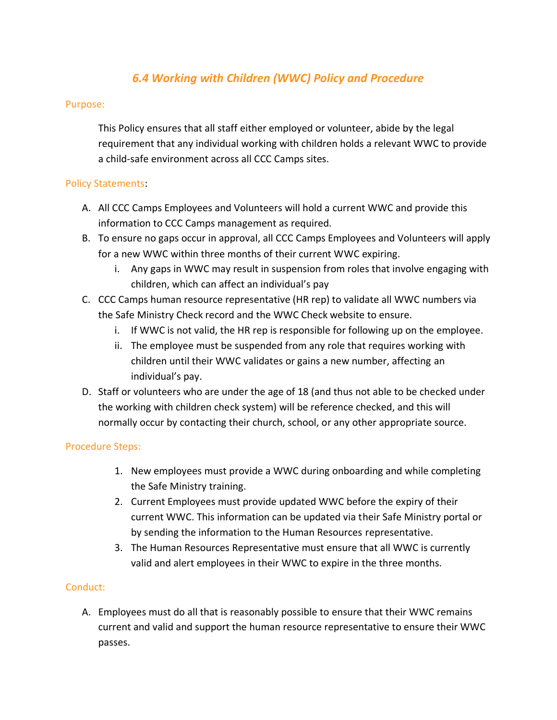# *6.4 Working with Children (WWC) Policy and Procedure*

#### Purpose:

This Policy ensures that all staff either employed or volunteer, abide by the legal requirement that any individual working with children holds a relevant WWC to provide a child-safe environment across all CCC Camps sites.

#### Policy Statements:

- A. All CCC Camps Employees and Volunteers will hold a current WWC and provide this information to CCC Camps management as required.
- B. To ensure no gaps occur in approval, all CCC Camps Employees and Volunteers will apply for a new WWC within three months of their current WWC expiring.
	- i. Any gaps in WWC may result in suspension from roles that involve engaging with children, which can affect an individual's pay
- C. CCC Camps human resource representative (HR rep) to validate all WWC numbers via the Safe Ministry Check record and the WWC Check website to ensure.
	- i. If WWC is not valid, the HR rep is responsible for following up on the employee.
	- ii. The employee must be suspended from any role that requires working with children until their WWC validates or gains a new number, affecting an individual's pay.
- D. Staff or volunteers who are under the age of 18 (and thus not able to be checked under the working with children check system) will be reference checked, and this will normally occur by contacting their church, school, or any other appropriate source.

## Procedure Steps:

- 1. New employees must provide a WWC during onboarding and while completing the Safe Ministry training.
- 2. Current Employees must provide updated WWC before the expiry of their current WWC. This information can be updated via their Safe Ministry portal or by sending the information to the Human Resources representative.
- 3. The Human Resources Representative must ensure that all WWC is currently valid and alert employees in their WWC to expire in the three months.

## Conduct:

A. Employees must do all that is reasonably possible to ensure that their WWC remains current and valid and support the human resource representative to ensure their WWC passes.